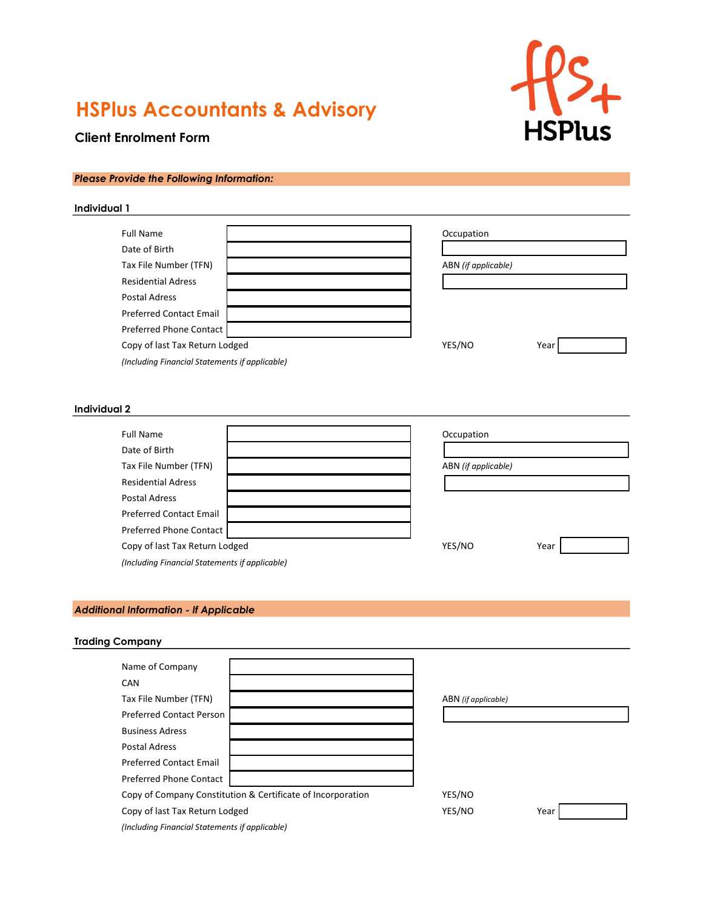

# HSPlus Accountants & Advisory

# Client Enrolment Form

# Please Provide the Following Information:

# (Including Financial Statements if applicable) Individual 1 Full Name and the set of the set of the set of the set of the Secupation of the Secupation Date of Birth Tax File Number (TFN) and the state of the ABN (if applicable) Residential Adress Postal Adress Preferred Contact Email Preferred Phone Contact Copy of last Tax Return Lodged Tax and Tax Return Lodged Tax Assembly the VES/NO Year

#### Individual 2

| <b>Full Name</b>                               | Occupation          |      |
|------------------------------------------------|---------------------|------|
| Date of Birth                                  |                     |      |
| Tax File Number (TFN)                          | ABN (if applicable) |      |
| <b>Residential Adress</b>                      |                     |      |
| <b>Postal Adress</b>                           |                     |      |
| <b>Preferred Contact Email</b>                 |                     |      |
| Preferred Phone Contact                        |                     |      |
| Copy of last Tax Return Lodged                 | YES/NO              | Year |
| (Including Financial Statements if applicable) |                     |      |

#### Additional Information - If Applicable

# Trading Company

| Name of Company                                                                                                                                                                                                                                                                                                                                               |                     |      |
|---------------------------------------------------------------------------------------------------------------------------------------------------------------------------------------------------------------------------------------------------------------------------------------------------------------------------------------------------------------|---------------------|------|
| CAN                                                                                                                                                                                                                                                                                                                                                           |                     |      |
| Tax File Number (TFN)                                                                                                                                                                                                                                                                                                                                         | ABN (if applicable) |      |
| <b>Preferred Contact Person</b>                                                                                                                                                                                                                                                                                                                               |                     |      |
| <b>Business Adress</b>                                                                                                                                                                                                                                                                                                                                        |                     |      |
| Postal Adress                                                                                                                                                                                                                                                                                                                                                 |                     |      |
| <b>Preferred Contact Email</b>                                                                                                                                                                                                                                                                                                                                |                     |      |
| <b>Preferred Phone Contact</b>                                                                                                                                                                                                                                                                                                                                |                     |      |
| Copy of Company Constitution & Certificate of Incorporation                                                                                                                                                                                                                                                                                                   | YES/NO              |      |
| Copy of last Tax Return Lodged                                                                                                                                                                                                                                                                                                                                | YES/NO              | Year |
| $\alpha$ , $\alpha$ , $\alpha$ , $\alpha$ , $\alpha$ , $\alpha$ , $\alpha$ , $\alpha$ , $\alpha$ , $\alpha$ , $\alpha$ , $\alpha$ , $\alpha$ , $\alpha$ , $\alpha$ , $\alpha$ , $\alpha$ , $\alpha$ , $\alpha$ , $\alpha$ , $\alpha$ , $\alpha$ , $\alpha$ , $\alpha$ , $\alpha$ , $\alpha$ , $\alpha$ , $\alpha$ , $\alpha$ , $\alpha$ , $\alpha$ , $\alpha$ |                     |      |

(Including Financial Statements if applicable)